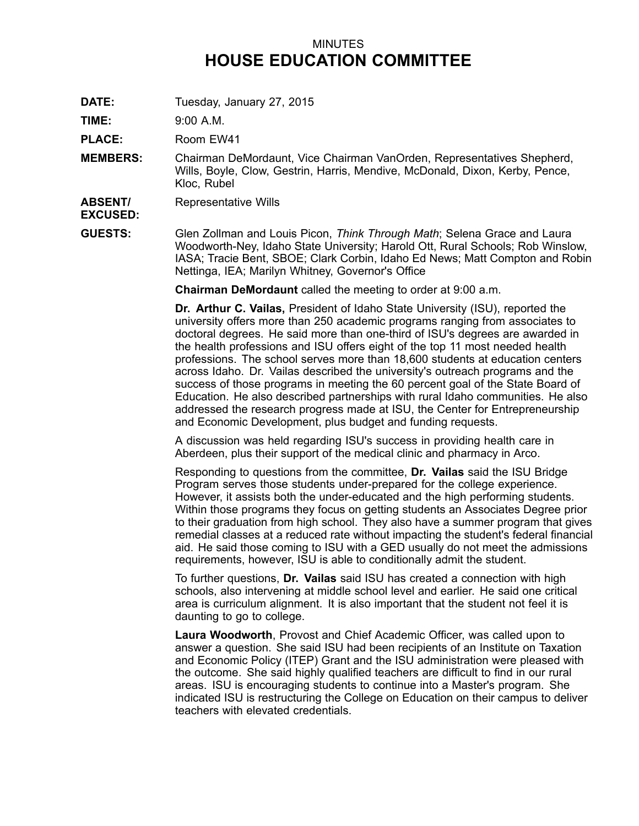## MINUTES **HOUSE EDUCATION COMMITTEE**

**DATE:** Tuesday, January 27, 2015

**TIME:** 9:00 A.M.

**PLACE:** Room EW41

**MEMBERS:** Chairman DeMordaunt, Vice Chairman VanOrden, Representatives Shepherd, Wills, Boyle, Clow, Gestrin, Harris, Mendive, McDonald, Dixon, Kerby, Pence, Kloc, Rubel

**ABSENT/** Representative Wills

**EXCUSED:**

**GUESTS:** Glen Zollman and Louis Picon, *Think Through Math*; Selena Grace and Laura Woodworth-Ney, Idaho State University; Harold Ott, Rural Schools; Rob Winslow, IASA; Tracie Bent, SBOE; Clark Corbin, Idaho Ed News; Matt Compton and Robin Nettinga, IEA; Marilyn Whitney, Governor's Office

**Chairman DeMordaunt** called the meeting to order at 9:00 a.m.

**Dr. Arthur C. Vailas,** President of Idaho State University (ISU), reported the university offers more than 250 academic programs ranging from associates to doctoral degrees. He said more than one-third of ISU's degrees are awarded in the health professions and ISU offers eight of the top 11 most needed health professions. The school serves more than 18,600 students at education centers across Idaho. Dr. Vailas described the university's outreach programs and the success of those programs in meeting the 60 percent goal of the State Board of Education. He also described partnerships with rural Idaho communities. He also addressed the research progress made at ISU, the Center for Entrepreneurship and Economic Development, plus budget and funding requests.

A discussion was held regarding ISU's success in providing health care in Aberdeen, plus their support of the medical clinic and pharmacy in Arco.

Responding to questions from the committee, **Dr. Vailas** said the ISU Bridge Program serves those students under-prepared for the college experience. However, it assists both the under-educated and the high performing students. Within those programs they focus on getting students an Associates Degree prior to their graduation from high school. They also have <sup>a</sup> summer program that gives remedial classes at <sup>a</sup> reduced rate without impacting the student's federal financial aid. He said those coming to ISU with <sup>a</sup> GED usually do not meet the admissions requirements, however, ISU is able to conditionally admit the student.

To further questions, **Dr. Vailas** said ISU has created <sup>a</sup> connection with high schools, also intervening at middle school level and earlier. He said one critical area is curriculum alignment. It is also important that the student not feel it is daunting to go to college.

**Laura Woodworth**, Provost and Chief Academic Officer, was called upon to answer <sup>a</sup> question. She said ISU had been recipients of an Institute on Taxation and Economic Policy (ITEP) Grant and the ISU administration were pleased with the outcome. She said highly qualified teachers are difficult to find in our rural areas. ISU is encouraging students to continue into <sup>a</sup> Master's program. She indicated ISU is restructuring the College on Education on their campus to deliver teachers with elevated credentials.